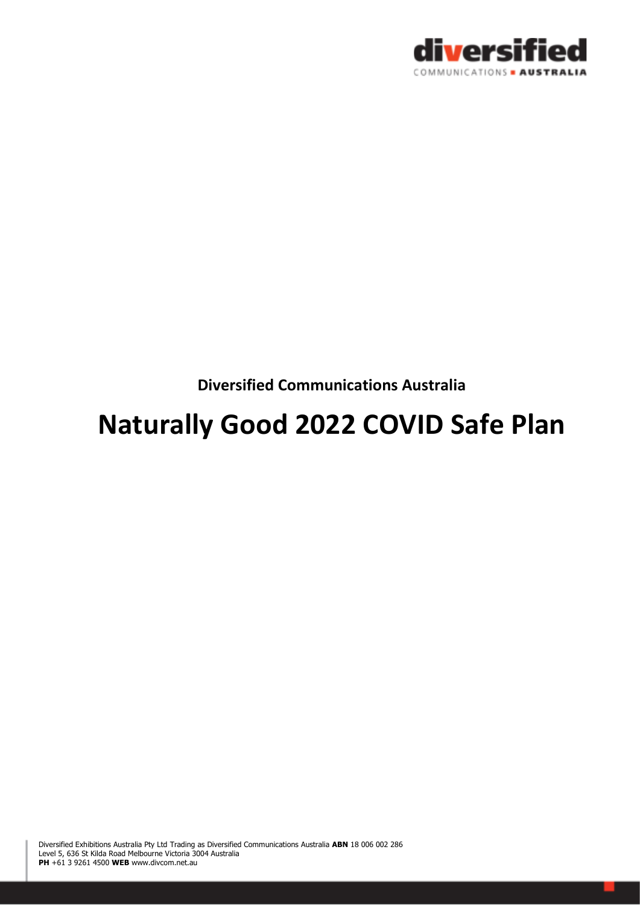

**Diversified Communications Australia** 

# **Naturally Good 2022 COVID Safe Plan**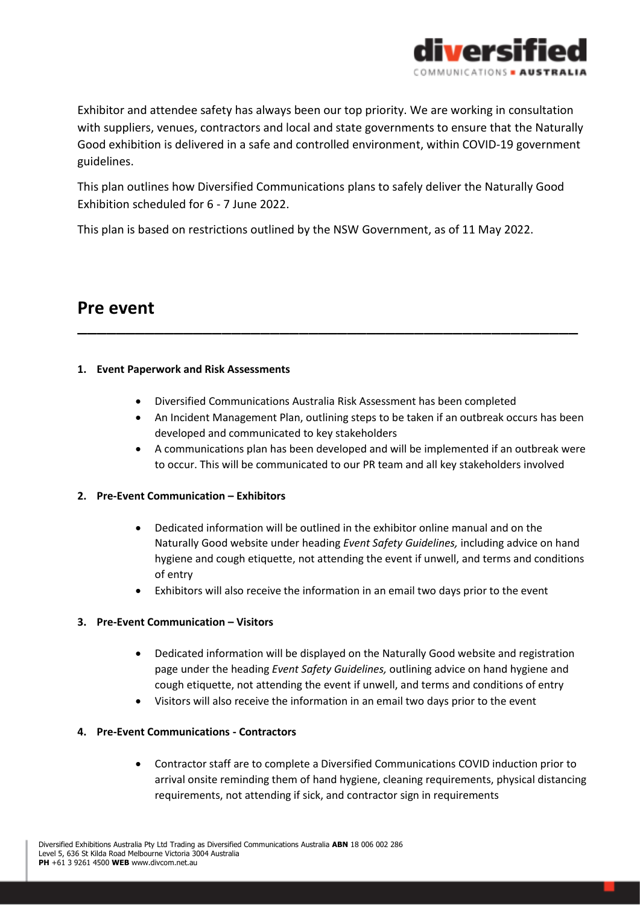

Exhibitor and attendee safety has always been our top priority. We are working in consultation with suppliers, venues, contractors and local and state governments to ensure that the Naturally Good exhibition is delivered in a safe and controlled environment, within COVID-19 government guidelines.

This plan outlines how Diversified Communications plans to safely deliver the Naturally Good Exhibition scheduled for 6 - 7 June 2022.

This plan is based on restrictions outlined by the NSW Government, as of 11 May 2022.

## **Pre event**

#### **1. Event Paperwork and Risk Assessments**

• Diversified Communications Australia Risk Assessment has been completed

––––––––––––––––––––––––––––––––––––––––––––––––––––

- An Incident Management Plan, outlining steps to be taken if an outbreak occurs has been developed and communicated to key stakeholders
- A communications plan has been developed and will be implemented if an outbreak were to occur. This will be communicated to our PR team and all key stakeholders involved

#### **2. Pre-Event Communication – Exhibitors**

- Dedicated information will be outlined in the exhibitor online manual and on the Naturally Good website under heading *Event Safety Guidelines,* including advice on hand hygiene and cough etiquette, not attending the event if unwell, and terms and conditions of entry
- Exhibitors will also receive the information in an email two days prior to the event

#### **3. Pre-Event Communication – Visitors**

- Dedicated information will be displayed on the Naturally Good website and registration page under the heading *Event Safety Guidelines,* outlining advice on hand hygiene and cough etiquette, not attending the event if unwell, and terms and conditions of entry
- Visitors will also receive the information in an email two days prior to the event

#### **4. Pre-Event Communications - Contractors**

• Contractor staff are to complete a Diversified Communications COVID induction prior to arrival onsite reminding them of hand hygiene, cleaning requirements, physical distancing requirements, not attending if sick, and contractor sign in requirements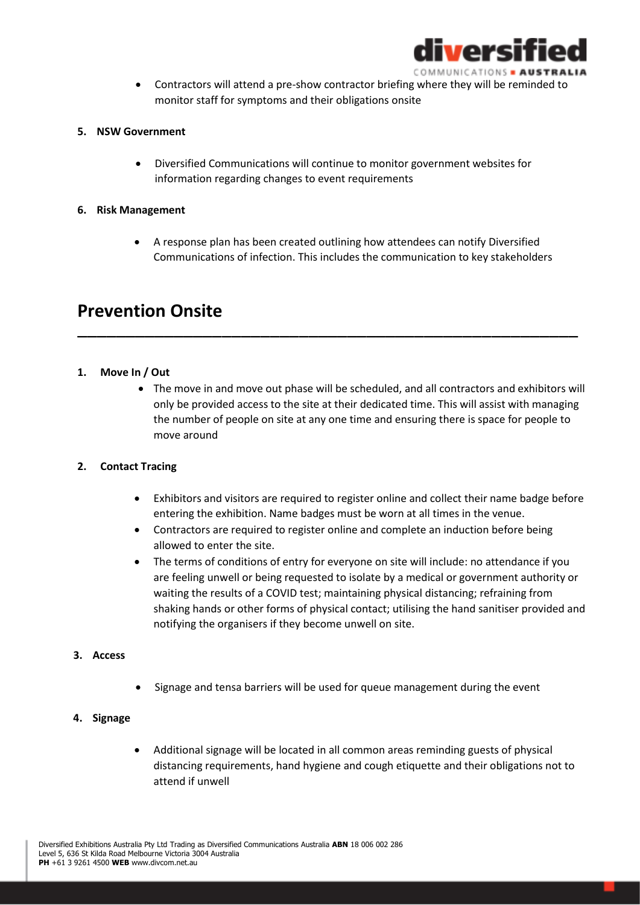

• Contractors will attend a pre-show contractor briefing where they will be reminded to monitor staff for symptoms and their obligations onsite

#### **5. NSW Government**

• Diversified Communications will continue to monitor government websites for information regarding changes to event requirements

#### **6. Risk Management**

• A response plan has been created outlining how attendees can notify Diversified Communications of infection. This includes the communication to key stakeholders

––––––––––––––––––––––––––––––––––––––––––––––––––––

### **Prevention Onsite**

#### **1. Move In / Out**

• The move in and move out phase will be scheduled, and all contractors and exhibitors will only be provided access to the site at their dedicated time. This will assist with managing the number of people on site at any one time and ensuring there is space for people to move around

#### **2. Contact Tracing**

- Exhibitors and visitors are required to register online and collect their name badge before entering the exhibition. Name badges must be worn at all times in the venue.
- Contractors are required to register online and complete an induction before being allowed to enter the site.
- The terms of conditions of entry for everyone on site will include: no attendance if you are feeling unwell or being requested to isolate by a medical or government authority or waiting the results of a COVID test; maintaining physical distancing; refraining from shaking hands or other forms of physical contact; utilising the hand sanitiser provided and notifying the organisers if they become unwell on site.

#### **3. Access**

• Signage and tensa barriers will be used for queue management during the event

#### **4. Signage**

• Additional signage will be located in all common areas reminding guests of physical distancing requirements, hand hygiene and cough etiquette and their obligations not to attend if unwell